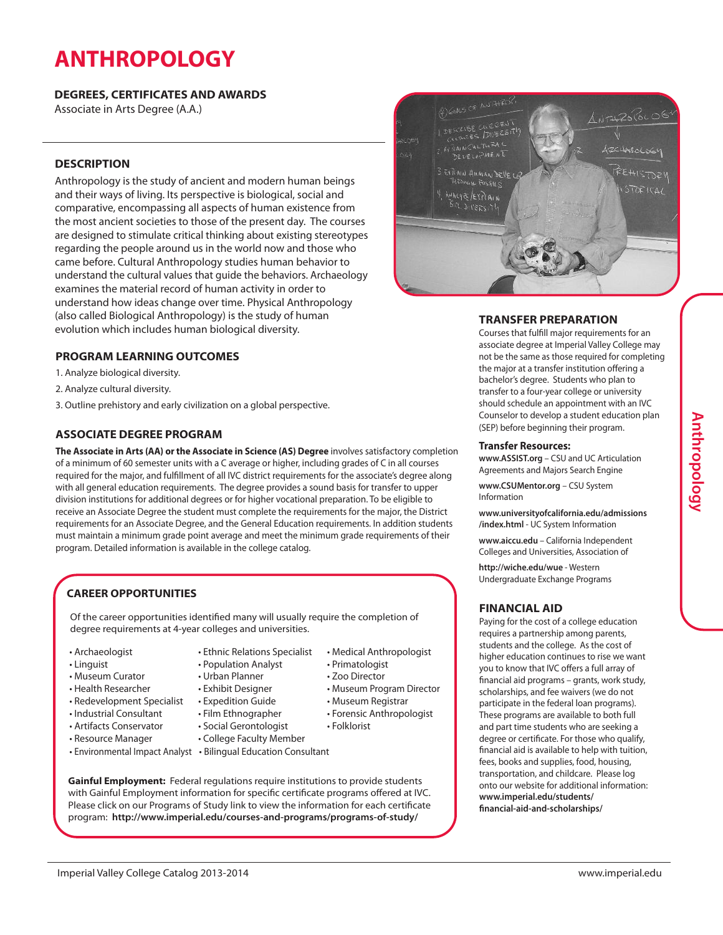# **ANTHROPOLOGY**

#### **DEGREES, CERTIFICATES AND AWARDS**

Associate in Arts Degree (A.A.)

#### **DESCRIPTION**

Anthropology is the study of ancient and modern human beings and their ways of living. Its perspective is biological, social and comparative, encompassing all aspects of human existence from the most ancient societies to those of the present day. The courses are designed to stimulate critical thinking about existing stereotypes regarding the people around us in the world now and those who came before. Cultural Anthropology studies human behavior to understand the cultural values that guide the behaviors. Archaeology examines the material record of human activity in order to understand how ideas change over time. Physical Anthropology (also called Biological Anthropology) is the study of human evolution which includes human biological diversity.

### **PROGRAM LEARNING OUTCOMES**

1. Analyze biological diversity.

- 2. Analyze cultural diversity.
- 3. Outline prehistory and early civilization on a global perspective.

### **ASSOCIATE DEGREE PROGRAM**

**The Associate in Arts (AA) or the Associate in Science (AS) Degree** involves satisfactory completion of a minimum of 60 semester units with a C average or higher, including grades of C in all courses required for the major, and fulfillment of all IVC district requirements for the associate's degree along with all general education requirements. The degree provides a sound basis for transfer to upper division institutions for additional degrees or for higher vocational preparation. To be eligible to receive an Associate Degree the student must complete the requirements for the major, the District requirements for an Associate Degree, and the General Education requirements. In addition students must maintain a minimum grade point average and meet the minimum grade requirements of their program. Detailed information is available in the college catalog.

## **CAREER OPPORTUNITIES**

Of the career opportunities identified many will usually require the completion of degree requirements at 4-year colleges and universities.

- Archaeologist
- Linguist
- Museum Curator
- Health Researcher
- Redevelopment Specialist
- Industrial Consultant
- Artifacts Conservator
- Resource Manager
- 
- Ethnic Relations Specialist • Population Analyst

• Medical Anthropologist

• Museum Program Director • Museum Registrar • Forensic Anthropologist

• Primatologist • Zoo Director

• Folklorist

- Urban Planner
- Exhibit Designer
- Expedition Guide
- 
- Film Ethnographer
- Social Gerontologist
	- College Faculty Member
- Environmental Impact Analyst Bilingual Education Consultant

**Gainful Employment:** Federal regulations require institutions to provide students with Gainful Employment information for specific certificate programs offered at IVC. Please click on our Programs of Study link to view the information for each certificate program: **http://www.imperial.edu/courses-and-programs/programs-of-study/**



## **TRANSFER PREPARATION**

Courses that fulfill major requirements for an associate degree at Imperial Valley College may not be the same as those required for completing the major at a transfer institution offering a bachelor's degree. Students who plan to transfer to a four-year college or university should schedule an appointment with an IVC Counselor to develop a student education plan (SEP) before beginning their program.

#### **Transfer Resources:**

**www.ASSIST.org** – CSU and UC Articulation Agreements and Majors Search Engine

**www.CSUMentor.org** – CSU System Information

**www.universityofcalifornia.edu/admissions /index.html** - UC System Information

**www.aiccu.edu** – California Independent Colleges and Universities, Association of

**http://wiche.edu/wue** - Western Undergraduate Exchange Programs

#### **FINANCIAL AID**

Paying for the cost of a college education requires a partnership among parents, students and the college. As the cost of higher education continues to rise we want you to know that IVC offers a full array of financial aid programs – grants, work study, scholarships, and fee waivers (we do not participate in the federal loan programs). These programs are available to both full and part time students who are seeking a degree or certificate. For those who qualify, financial aid is available to help with tuition, fees, books and supplies, food, housing, transportation, and childcare. Please log onto our website for additional information: **www.imperial.edu/students/ financial-aid-and-scholarships/**

**A**